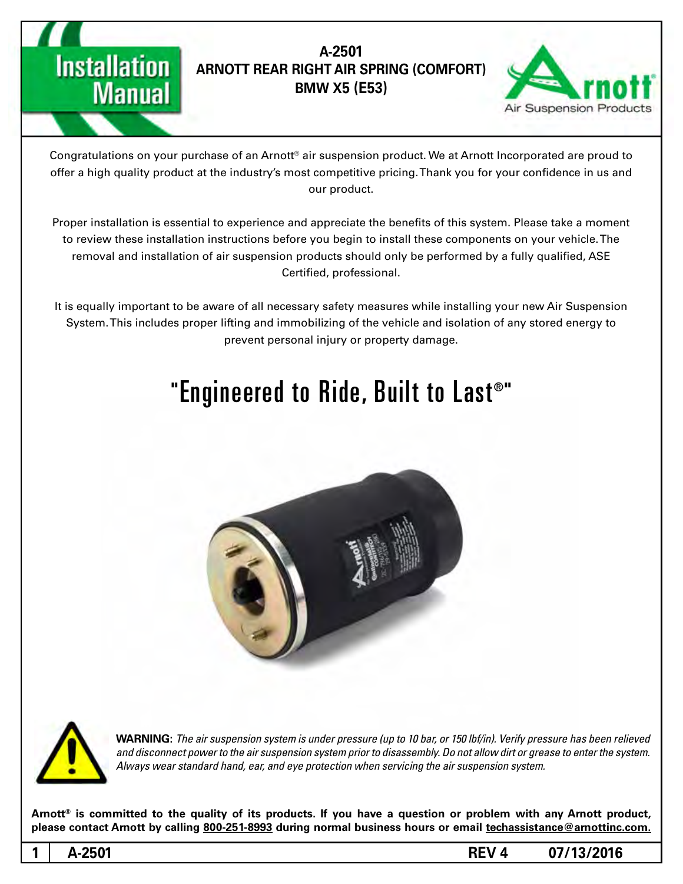



Congratulations on your purchase of an Arnott® air suspension product. We at Arnott Incorporated are proud to offer a high quality product at the industry's most competitive pricing. Thank you for your confidence in us and our product.

Proper installation is essential to experience and appreciate the benefits of this system. Please take a moment to review these installation instructions before you begin to install these components on your vehicle. The removal and installation of air suspension products should only be performed by a fully qualified, ASE Certified, professional.

It is equally important to be aware of all necessary safety measures while installing your new Air Suspension System. This includes proper lifting and immobilizing of the vehicle and isolation of any stored energy to prevent personal injury or property damage.

# "Engineered to Ride, Built to Last®"





**Manual** 

**WARNING:** The air suspension system is under pressure (up to 10 bar, or 150 lbf/in). Verify pressure has been relieved and disconnect power to the air suspension system prior to disassembly. Do not allow dirt or grease to enter the system. Always wear standard hand, ear, and eye protection when servicing the air suspension system.

Arnott<sup>®</sup> is committed to the quality of its products. If you have a question or problem with any Arnott product, please contact Arnott by calling 800-251-8993 during normal business hours or email techassistance@arnottinc.com.

**1**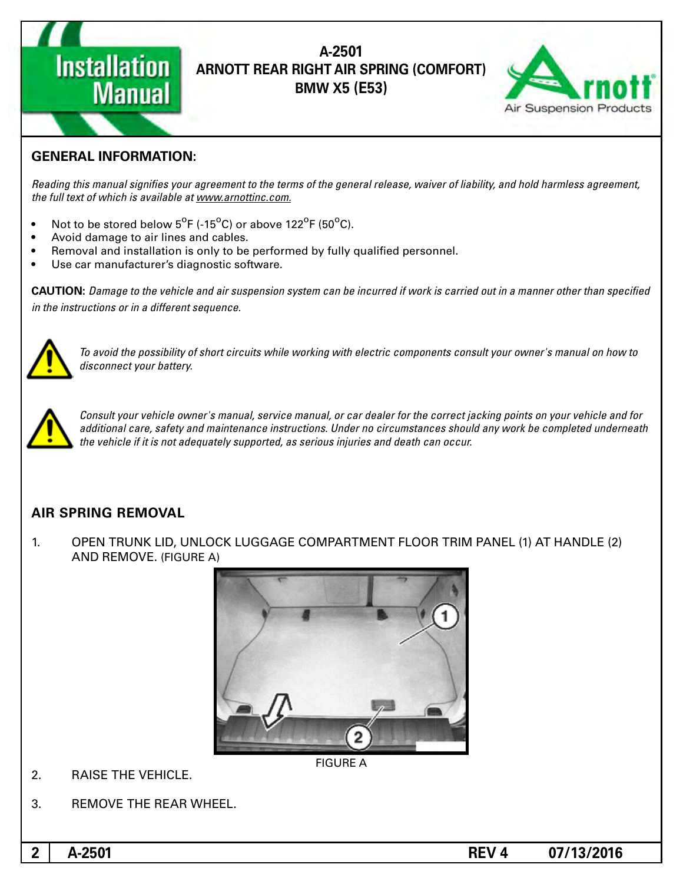

## A-2501 **(ARNOTT REAR RIGHT AIR SPRING (COMFORT) BMW X5 (E53)**



## **GENERAL INFORMATION:**

Reading this manual signifies your agreement to the terms of the general release, waiver of liability, and hold harmless agreement, the full text of which is available at www.arnottinc.com.

- Not to be stored below  $5^{\circ}$ F (-15 $^{\circ}$ C) or above 122 $^{\circ}$ F (50 $^{\circ}$ C).
- Avoid damage to air lines and cables.
- Removal and installation is only to be performed by fully qualified personnel.
- Use car manufacturer's diagnostic software.

**CAUTION:** Damage to the vehicle and air suspension system can be incurred if work is carried out in a manner other than specified *in the instructions or in a different sequence.* 



 *to how on manual s'owner your consult components electric with working while circuits short of possibility the avoid To* disconnect your battery.



*Consult your vehicle owner's manual, service manual, or car dealer for the correct jacking points on your vehicle and for* additional care, safety and maintenance instructions. Under no circumstances should any work be completed underneath the vehicle if it is not adequately supported, as serious injuries and death can occur.

### **AIR SPRING REMOVAL**

1. OPEN TRUNK LID, UNLOCK LUGGAGE COMPARTMENT FLOOR TRIM PANEL (1) AT HANDLE (2) AND REMOVE. (FIGURE A)



- 2. RAISE THE VEHICLE.
- 3. REMOVE THE REAR WHEEL.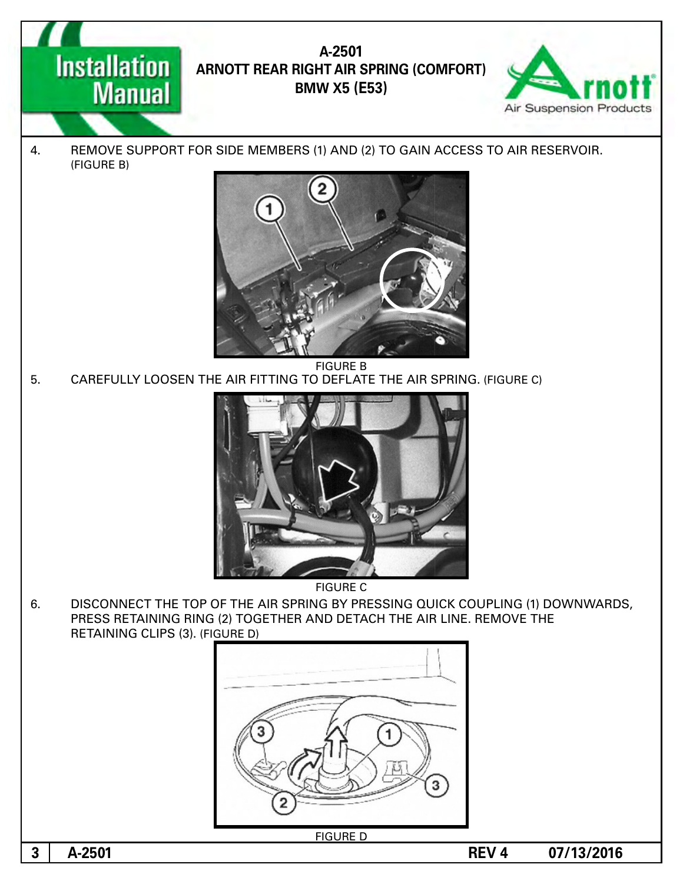